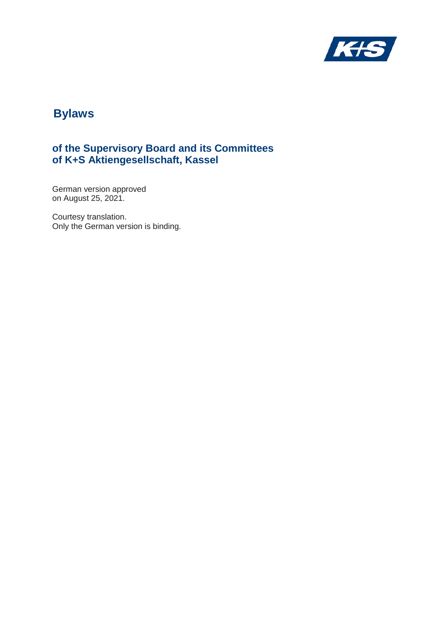

# **of the Supervisory Board and its Committees of K+S Aktiengesellschaft, Kassel**

German version approved on August 25, 2021.

Courtesy translation. Only the German version is binding.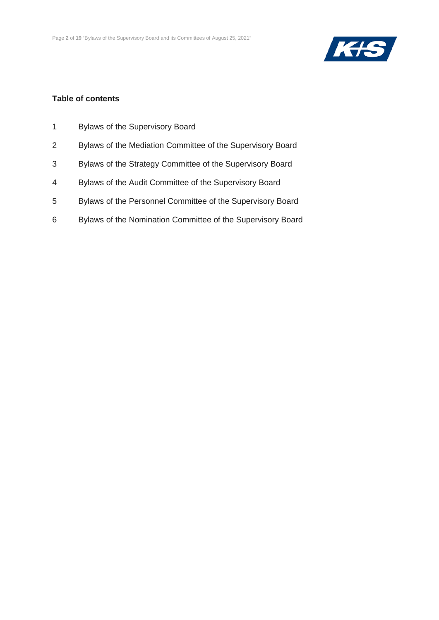

#### **Table of contents**

- 1 Bylaws of the Supervisory Board
- 2 Bylaws of the Mediation Committee of the Supervisory Board
- 3 Bylaws of the Strategy Committee of the Supervisory Board
- 4 Bylaws of the Audit Committee of the Supervisory Board
- 5 Bylaws of the Personnel Committee of the Supervisory Board
- 6 Bylaws of the Nomination Committee of the Supervisory Board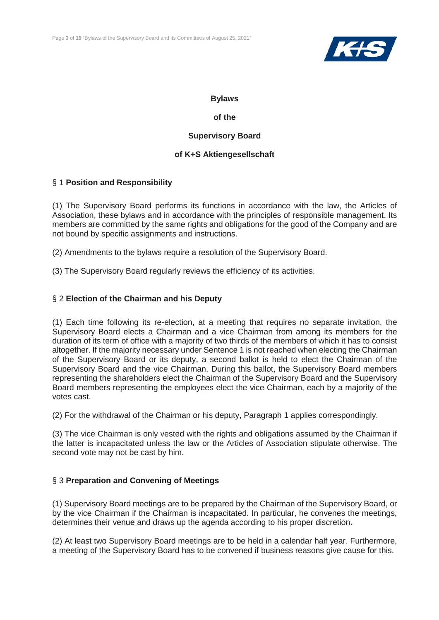

#### **of the**

#### **Supervisory Board**

#### **of K+S Aktiengesellschaft**

#### § 1 **Position and Responsibility**

(1) The Supervisory Board performs its functions in accordance with the law, the Articles of Association, these bylaws and in accordance with the principles of responsible management. Its members are committed by the same rights and obligations for the good of the Company and are not bound by specific assignments and instructions.

(2) Amendments to the bylaws require a resolution of the Supervisory Board.

(3) The Supervisory Board regularly reviews the efficiency of its activities.

#### § 2 **Election of the Chairman and his Deputy**

(1) Each time following its re-election, at a meeting that requires no separate invitation, the Supervisory Board elects a Chairman and a vice Chairman from among its members for the duration of its term of office with a majority of two thirds of the members of which it has to consist altogether. If the majority necessary under Sentence 1 is not reached when electing the Chairman of the Supervisory Board or its deputy, a second ballot is held to elect the Chairman of the Supervisory Board and the vice Chairman. During this ballot, the Supervisory Board members representing the shareholders elect the Chairman of the Supervisory Board and the Supervisory Board members representing the employees elect the vice Chairman, each by a majority of the votes cast.

(2) For the withdrawal of the Chairman or his deputy, Paragraph 1 applies correspondingly.

(3) The vice Chairman is only vested with the rights and obligations assumed by the Chairman if the latter is incapacitated unless the law or the Articles of Association stipulate otherwise. The second vote may not be cast by him.

#### § 3 **Preparation and Convening of Meetings**

(1) Supervisory Board meetings are to be prepared by the Chairman of the Supervisory Board, or by the vice Chairman if the Chairman is incapacitated. In particular, he convenes the meetings, determines their venue and draws up the agenda according to his proper discretion.

(2) At least two Supervisory Board meetings are to be held in a calendar half year. Furthermore, a meeting of the Supervisory Board has to be convened if business reasons give cause for this.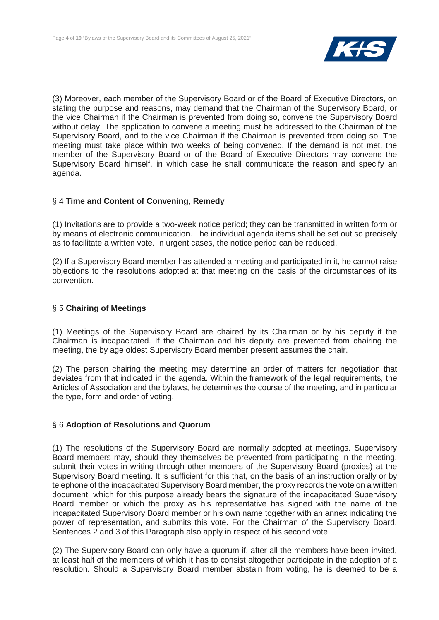

(3) Moreover, each member of the Supervisory Board or of the Board of Executive Directors, on stating the purpose and reasons, may demand that the Chairman of the Supervisory Board, or the vice Chairman if the Chairman is prevented from doing so, convene the Supervisory Board without delay. The application to convene a meeting must be addressed to the Chairman of the Supervisory Board, and to the vice Chairman if the Chairman is prevented from doing so. The meeting must take place within two weeks of being convened. If the demand is not met, the member of the Supervisory Board or of the Board of Executive Directors may convene the Supervisory Board himself, in which case he shall communicate the reason and specify an agenda.

#### § 4 **Time and Content of Convening, Remedy**

(1) Invitations are to provide a two-week notice period; they can be transmitted in written form or by means of electronic communication. The individual agenda items shall be set out so precisely as to facilitate a written vote. In urgent cases, the notice period can be reduced.

(2) If a Supervisory Board member has attended a meeting and participated in it, he cannot raise objections to the resolutions adopted at that meeting on the basis of the circumstances of its convention.

#### § 5 **Chairing of Meetings**

(1) Meetings of the Supervisory Board are chaired by its Chairman or by his deputy if the Chairman is incapacitated. If the Chairman and his deputy are prevented from chairing the meeting, the by age oldest Supervisory Board member present assumes the chair.

(2) The person chairing the meeting may determine an order of matters for negotiation that deviates from that indicated in the agenda. Within the framework of the legal requirements, the Articles of Association and the bylaws, he determines the course of the meeting, and in particular the type, form and order of voting.

#### § 6 **Adoption of Resolutions and Quorum**

(1) The resolutions of the Supervisory Board are normally adopted at meetings. Supervisory Board members may, should they themselves be prevented from participating in the meeting, submit their votes in writing through other members of the Supervisory Board (proxies) at the Supervisory Board meeting. It is sufficient for this that, on the basis of an instruction orally or by telephone of the incapacitated Supervisory Board member, the proxy records the vote on a written document, which for this purpose already bears the signature of the incapacitated Supervisory Board member or which the proxy as his representative has signed with the name of the incapacitated Supervisory Board member or his own name together with an annex indicating the power of representation, and submits this vote. For the Chairman of the Supervisory Board, Sentences 2 and 3 of this Paragraph also apply in respect of his second vote.

(2) The Supervisory Board can only have a quorum if, after all the members have been invited, at least half of the members of which it has to consist altogether participate in the adoption of a resolution. Should a Supervisory Board member abstain from voting, he is deemed to be a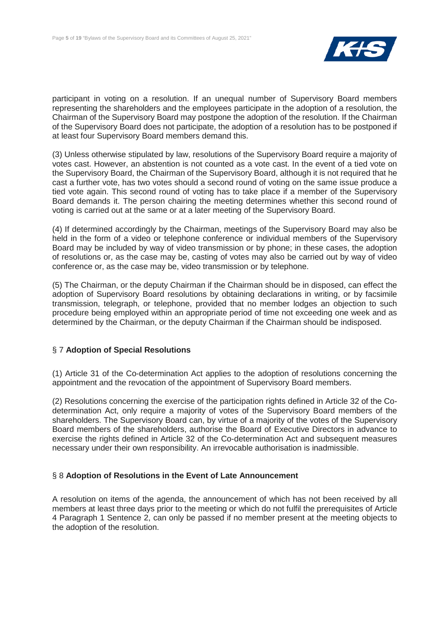

participant in voting on a resolution. If an unequal number of Supervisory Board members representing the shareholders and the employees participate in the adoption of a resolution, the Chairman of the Supervisory Board may postpone the adoption of the resolution. If the Chairman of the Supervisory Board does not participate, the adoption of a resolution has to be postponed if at least four Supervisory Board members demand this.

(3) Unless otherwise stipulated by law, resolutions of the Supervisory Board require a majority of votes cast. However, an abstention is not counted as a vote cast. In the event of a tied vote on the Supervisory Board, the Chairman of the Supervisory Board, although it is not required that he cast a further vote, has two votes should a second round of voting on the same issue produce a tied vote again. This second round of voting has to take place if a member of the Supervisory Board demands it. The person chairing the meeting determines whether this second round of voting is carried out at the same or at a later meeting of the Supervisory Board.

(4) If determined accordingly by the Chairman, meetings of the Supervisory Board may also be held in the form of a video or telephone conference or individual members of the Supervisory Board may be included by way of video transmission or by phone; in these cases, the adoption of resolutions or, as the case may be, casting of votes may also be carried out by way of video conference or, as the case may be, video transmission or by telephone.

(5) The Chairman, or the deputy Chairman if the Chairman should be in disposed, can effect the adoption of Supervisory Board resolutions by obtaining declarations in writing, or by facsimile transmission, telegraph, or telephone, provided that no member lodges an objection to such procedure being employed within an appropriate period of time not exceeding one week and as determined by the Chairman, or the deputy Chairman if the Chairman should be indisposed.

#### § 7 **Adoption of Special Resolutions**

(1) Article 31 of the Co-determination Act applies to the adoption of resolutions concerning the appointment and the revocation of the appointment of Supervisory Board members.

(2) Resolutions concerning the exercise of the participation rights defined in Article 32 of the Codetermination Act, only require a majority of votes of the Supervisory Board members of the shareholders. The Supervisory Board can, by virtue of a majority of the votes of the Supervisory Board members of the shareholders, authorise the Board of Executive Directors in advance to exercise the rights defined in Article 32 of the Co-determination Act and subsequent measures necessary under their own responsibility. An irrevocable authorisation is inadmissible.

#### § 8 **Adoption of Resolutions in the Event of Late Announcement**

A resolution on items of the agenda, the announcement of which has not been received by all members at least three days prior to the meeting or which do not fulfil the prerequisites of Article 4 Paragraph 1 Sentence 2, can only be passed if no member present at the meeting objects to the adoption of the resolution.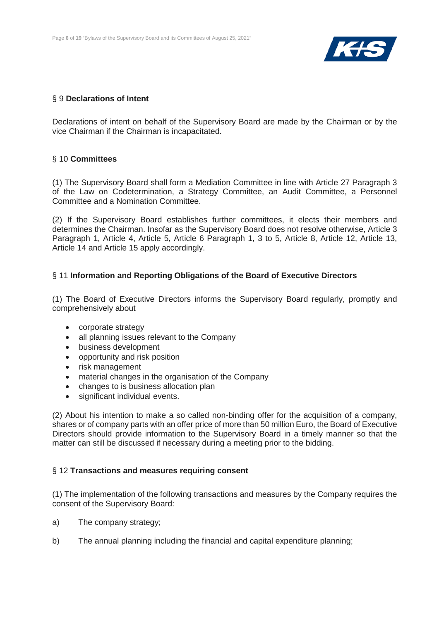

#### § 9 **Declarations of Intent**

Declarations of intent on behalf of the Supervisory Board are made by the Chairman or by the vice Chairman if the Chairman is incapacitated.

#### § 10 **Committees**

(1) The Supervisory Board shall form a Mediation Committee in line with Article 27 Paragraph 3 of the Law on Codetermination, a Strategy Committee, an Audit Committee, a Personnel Committee and a Nomination Committee.

(2) If the Supervisory Board establishes further committees, it elects their members and determines the Chairman. Insofar as the Supervisory Board does not resolve otherwise, Article 3 Paragraph 1, Article 4, Article 5, Article 6 Paragraph 1, 3 to 5, Article 8, Article 12, Article 13, Article 14 and Article 15 apply accordingly.

#### § 11 **Information and Reporting Obligations of the Board of Executive Directors**

(1) The Board of Executive Directors informs the Supervisory Board regularly, promptly and comprehensively about

- corporate strategy
- all planning issues relevant to the Company
- business development
- opportunity and risk position
- risk management
- material changes in the organisation of the Company
- changes to is business allocation plan
- significant individual events.

(2) About his intention to make a so called non-binding offer for the acquisition of a company, shares or of company parts with an offer price of more than 50 million Euro, the Board of Executive Directors should provide information to the Supervisory Board in a timely manner so that the matter can still be discussed if necessary during a meeting prior to the bidding.

#### § 12 **Transactions and measures requiring consent**

(1) The implementation of the following transactions and measures by the Company requires the consent of the Supervisory Board:

- a) The company strategy;
- b) The annual planning including the financial and capital expenditure planning;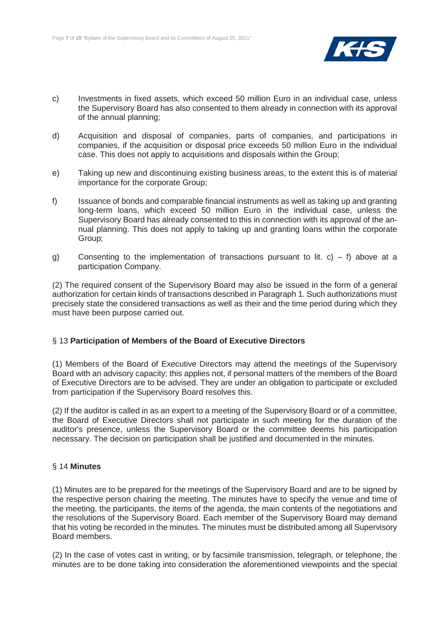

- c) Investments in fixed assets, which exceed 50 million Euro in an individual case, unless the Supervisory Board has also consented to them already in connection with its approval of the annual planning;
- d) Acquisition and disposal of companies, parts of companies, and participations in companies, if the acquisition or disposal price exceeds 50 million Euro in the individual case. This does not apply to acquisitions and disposals within the Group;
- e) Taking up new and discontinuing existing business areas, to the extent this is of material importance for the corporate Group;
- f) Issuance of bonds and comparable financial instruments as well as taking up and granting long-term loans, which exceed 50 million Euro in the individual case, unless the Supervisory Board has already consented to this in connection with its approval of the annual planning. This does not apply to taking up and granting loans within the corporate Group;
- g) Consenting to the implementation of transactions pursuant to lit. c) f) above at a participation Company.

(2) The required consent of the Supervisory Board may also be issued in the form of a general authorization for certain kinds of transactions described in Paragraph 1. Such authorizations must precisely state the considered transactions as well as their and the time period during which they must have been purpose carried out.

#### § 13 **Participation of Members of the Board of Executive Directors**

(1) Members of the Board of Executive Directors may attend the meetings of the Supervisory Board with an advisory capacity; this applies not, if personal matters of the members of the Board of Executive Directors are to be advised. They are under an obligation to participate or excluded from participation if the Supervisory Board resolves this.

(2) If the auditor is called in as an expert to a meeting of the Supervisory Board or of a committee, the Board of Executive Directors shall not participate in such meeting for the duration of the auditor's presence, unless the Supervisory Board or the committee deems his participation necessary. The decision on participation shall be justified and documented in the minutes.

#### § 14 **Minutes**

(1) Minutes are to be prepared for the meetings of the Supervisory Board and are to be signed by the respective person chairing the meeting. The minutes have to specify the venue and time of the meeting, the participants, the items of the agenda, the main contents of the negotiations and the resolutions of the Supervisory Board. Each member of the Supervisory Board may demand that his voting be recorded in the minutes. The minutes must be distributed among all Supervisory Board members.

(2) In the case of votes cast in writing, or by facsimile transmission, telegraph, or telephone, the minutes are to be done taking into consideration the aforementioned viewpoints and the special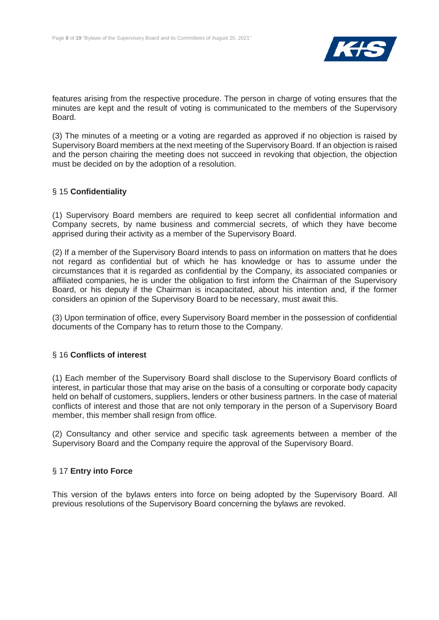

features arising from the respective procedure. The person in charge of voting ensures that the minutes are kept and the result of voting is communicated to the members of the Supervisory Board.

(3) The minutes of a meeting or a voting are regarded as approved if no objection is raised by Supervisory Board members at the next meeting of the Supervisory Board. If an objection is raised and the person chairing the meeting does not succeed in revoking that objection, the objection must be decided on by the adoption of a resolution.

#### § 15 **Confidentiality**

(1) Supervisory Board members are required to keep secret all confidential information and Company secrets, by name business and commercial secrets, of which they have become apprised during their activity as a member of the Supervisory Board.

(2) If a member of the Supervisory Board intends to pass on information on matters that he does not regard as confidential but of which he has knowledge or has to assume under the circumstances that it is regarded as confidential by the Company, its associated companies or affiliated companies, he is under the obligation to first inform the Chairman of the Supervisory Board, or his deputy if the Chairman is incapacitated, about his intention and, if the former considers an opinion of the Supervisory Board to be necessary, must await this.

(3) Upon termination of office, every Supervisory Board member in the possession of confidential documents of the Company has to return those to the Company.

#### § 16 **Conflicts of interest**

(1) Each member of the Supervisory Board shall disclose to the Supervisory Board conflicts of interest, in particular those that may arise on the basis of a consulting or corporate body capacity held on behalf of customers, suppliers, lenders or other business partners. In the case of material conflicts of interest and those that are not only temporary in the person of a Supervisory Board member, this member shall resign from office.

(2) Consultancy and other service and specific task agreements between a member of the Supervisory Board and the Company require the approval of the Supervisory Board.

#### § 17 **Entry into Force**

This version of the bylaws enters into force on being adopted by the Supervisory Board. All previous resolutions of the Supervisory Board concerning the bylaws are revoked.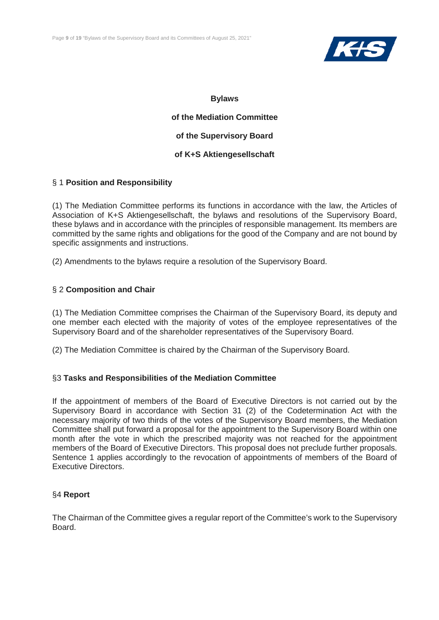

**of the Mediation Committee of the Supervisory Board of K+S Aktiengesellschaft**

#### § 1 **Position and Responsibility**

(1) The Mediation Committee performs its functions in accordance with the law, the Articles of Association of K+S Aktiengesellschaft, the bylaws and resolutions of the Supervisory Board, these bylaws and in accordance with the principles of responsible management. Its members are committed by the same rights and obligations for the good of the Company and are not bound by specific assignments and instructions.

(2) Amendments to the bylaws require a resolution of the Supervisory Board.

#### § 2 **Composition and Chair**

(1) The Mediation Committee comprises the Chairman of the Supervisory Board, its deputy and one member each elected with the majority of votes of the employee representatives of the Supervisory Board and of the shareholder representatives of the Supervisory Board.

(2) The Mediation Committee is chaired by the Chairman of the Supervisory Board.

#### §3 **Tasks and Responsibilities of the Mediation Committee**

If the appointment of members of the Board of Executive Directors is not carried out by the Supervisory Board in accordance with Section 31 (2) of the Codetermination Act with the necessary majority of two thirds of the votes of the Supervisory Board members, the Mediation Committee shall put forward a proposal for the appointment to the Supervisory Board within one month after the vote in which the prescribed majority was not reached for the appointment members of the Board of Executive Directors. This proposal does not preclude further proposals. Sentence 1 applies accordingly to the revocation of appointments of members of the Board of Executive Directors.

#### §4 **Report**

The Chairman of the Committee gives a regular report of the Committee's work to the Supervisory Board.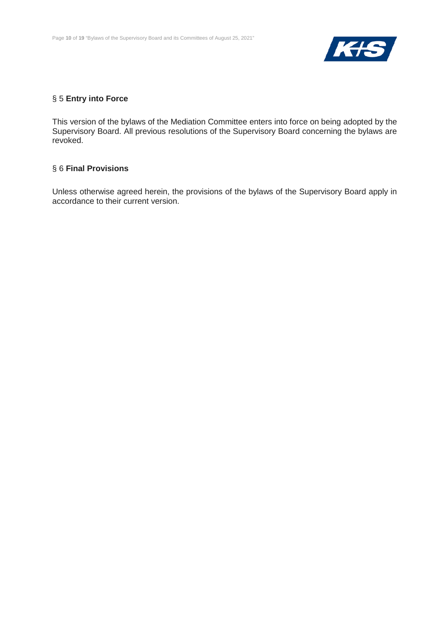

#### § 5 **Entry into Force**

This version of the bylaws of the Mediation Committee enters into force on being adopted by the Supervisory Board. All previous resolutions of the Supervisory Board concerning the bylaws are revoked.

#### § 6 **Final Provisions**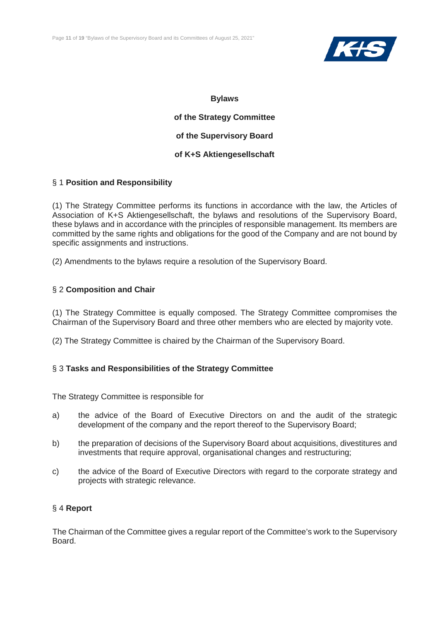

**of the Strategy Committee of the Supervisory Board of K+S Aktiengesellschaft**

#### § 1 **Position and Responsibility**

(1) The Strategy Committee performs its functions in accordance with the law, the Articles of Association of K+S Aktiengesellschaft, the bylaws and resolutions of the Supervisory Board, these bylaws and in accordance with the principles of responsible management. Its members are committed by the same rights and obligations for the good of the Company and are not bound by specific assignments and instructions.

(2) Amendments to the bylaws require a resolution of the Supervisory Board.

#### § 2 **Composition and Chair**

(1) The Strategy Committee is equally composed. The Strategy Committee compromises the Chairman of the Supervisory Board and three other members who are elected by majority vote.

(2) The Strategy Committee is chaired by the Chairman of the Supervisory Board.

#### § 3 **Tasks and Responsibilities of the Strategy Committee**

The Strategy Committee is responsible for

- a) the advice of the Board of Executive Directors on and the audit of the strategic development of the company and the report thereof to the Supervisory Board;
- b) the preparation of decisions of the Supervisory Board about acquisitions, divestitures and investments that require approval, organisational changes and restructuring;
- c) the advice of the Board of Executive Directors with regard to the corporate strategy and projects with strategic relevance.

#### § 4 **Report**

The Chairman of the Committee gives a regular report of the Committee's work to the Supervisory Board.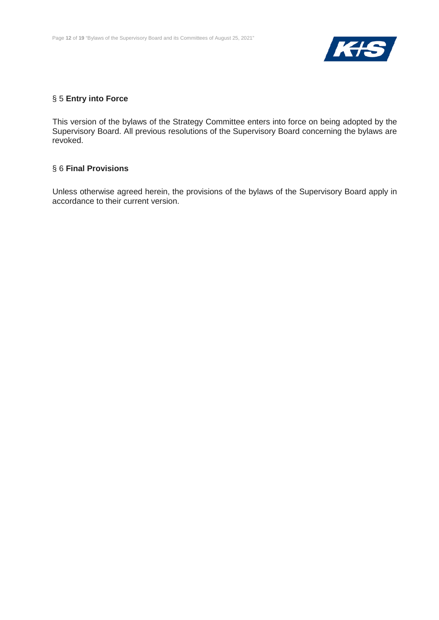

#### § 5 **Entry into Force**

This version of the bylaws of the Strategy Committee enters into force on being adopted by the Supervisory Board. All previous resolutions of the Supervisory Board concerning the bylaws are revoked.

#### § 6 **Final Provisions**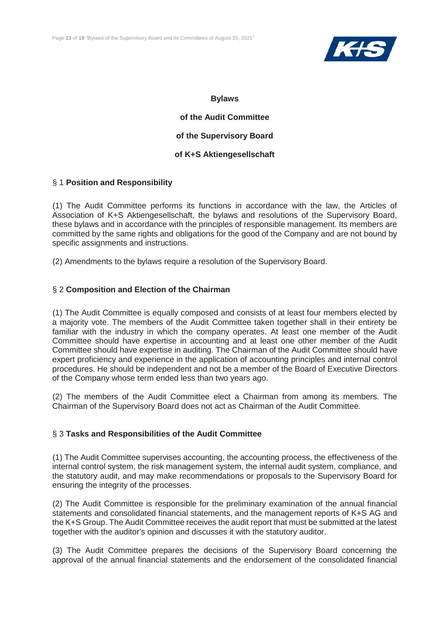

**of the Audit Committee of the Supervisory Board of K+S Aktiengesellschaft**

#### § 1 **Position and Responsibility**

(1) The Audit Committee performs its functions in accordance with the law, the Articles of Association of K+S Aktiengesellschaft, the bylaws and resolutions of the Supervisory Board, these bylaws and in accordance with the principles of responsible management. Its members are committed by the same rights and obligations for the good of the Company and are not bound by specific assignments and instructions.

(2) Amendments to the bylaws require a resolution of the Supervisory Board.

#### § 2 **Composition and Election of the Chairman**

(1) The Audit Committee is equally composed and consists of at least four members elected by a majority vote. The members of the Audit Committee taken together shall in their entirety be familiar with the industry in which the company operates. At least one member of the Audit Committee should have expertise in accounting and at least one other member of the Audit Committee should have expertise in auditing. The Chairman of the Audit Committee should have expert proficiency and experience in the application of accounting principles and internal control procedures. He should be independent and not be a member of the Board of Executive Directors of the Company whose term ended less than two years ago.

(2) The members of the Audit Committee elect a Chairman from among its members. The Chairman of the Supervisory Board does not act as Chairman of the Audit Committee.

#### § 3 **Tasks and Responsibilities of the Audit Committee**

(1) The Audit Committee supervises accounting, the accounting process, the effectiveness of the internal control system, the risk management system, the internal audit system, compliance, and the statutory audit, and may make recommendations or proposals to the Supervisory Board for ensuring the integrity of the processes.

(2) The Audit Committee is responsible for the preliminary examination of the annual financial statements and consolidated financial statements, and the management reports of K+S AG and the K+S Group. The Audit Committee receives the audit report that must be submitted at the latest together with the auditor's opinion and discusses it with the statutory auditor.

(3) The Audit Committee prepares the decisions of the Supervisory Board concerning the approval of the annual financial statements and the endorsement of the consolidated financial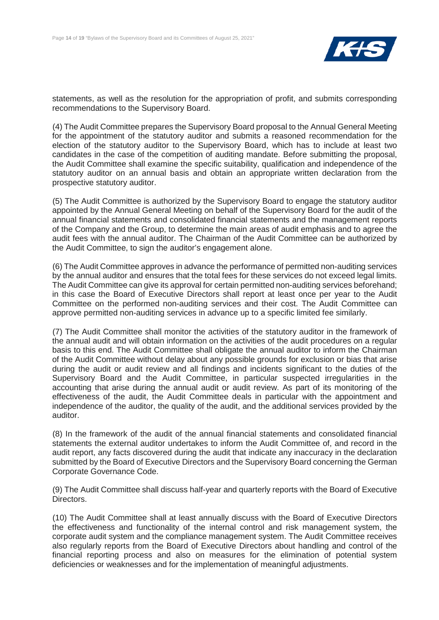

statements, as well as the resolution for the appropriation of profit, and submits corresponding recommendations to the Supervisory Board.

(4) The Audit Committee prepares the Supervisory Board proposal to the Annual General Meeting for the appointment of the statutory auditor and submits a reasoned recommendation for the election of the statutory auditor to the Supervisory Board, which has to include at least two candidates in the case of the competition of auditing mandate. Before submitting the proposal, the Audit Committee shall examine the specific suitability, qualification and independence of the statutory auditor on an annual basis and obtain an appropriate written declaration from the prospective statutory auditor.

(5) The Audit Committee is authorized by the Supervisory Board to engage the statutory auditor appointed by the Annual General Meeting on behalf of the Supervisory Board for the audit of the annual financial statements and consolidated financial statements and the management reports of the Company and the Group, to determine the main areas of audit emphasis and to agree the audit fees with the annual auditor. The Chairman of the Audit Committee can be authorized by the Audit Committee, to sign the auditor's engagement alone.

(6) The Audit Committee approves in advance the performance of permitted non-auditing services by the annual auditor and ensures that the total fees for these services do not exceed legal limits. The Audit Committee can give its approval for certain permitted non-auditing services beforehand; in this case the Board of Executive Directors shall report at least once per year to the Audit Committee on the performed non-auditing services and their cost. The Audit Committee can approve permitted non-auditing services in advance up to a specific limited fee similarly.

(7) The Audit Committee shall monitor the activities of the statutory auditor in the framework of the annual audit and will obtain information on the activities of the audit procedures on a regular basis to this end. The Audit Committee shall obligate the annual auditor to inform the Chairman of the Audit Committee without delay about any possible grounds for exclusion or bias that arise during the audit or audit review and all findings and incidents significant to the duties of the Supervisory Board and the Audit Committee, in particular suspected irregularities in the accounting that arise during the annual audit or audit review. As part of its monitoring of the effectiveness of the audit, the Audit Committee deals in particular with the appointment and independence of the auditor, the quality of the audit, and the additional services provided by the auditor.

(8) In the framework of the audit of the annual financial statements and consolidated financial statements the external auditor undertakes to inform the Audit Committee of, and record in the audit report, any facts discovered during the audit that indicate any inaccuracy in the declaration submitted by the Board of Executive Directors and the Supervisory Board concerning the German Corporate Governance Code.

(9) The Audit Committee shall discuss half-year and quarterly reports with the Board of Executive Directors.

(10) The Audit Committee shall at least annually discuss with the Board of Executive Directors the effectiveness and functionality of the internal control and risk management system, the corporate audit system and the compliance management system. The Audit Committee receives also regularly reports from the Board of Executive Directors about handling and control of the financial reporting process and also on measures for the elimination of potential system deficiencies or weaknesses and for the implementation of meaningful adjustments.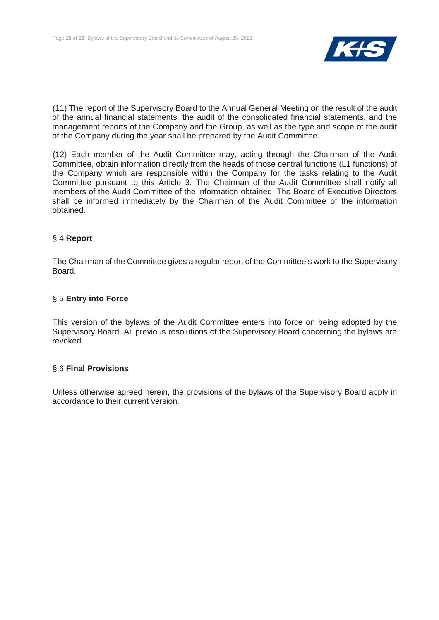

(11) The report of the Supervisory Board to the Annual General Meeting on the result of the audit of the annual financial statements, the audit of the consolidated financial statements, and the management reports of the Company and the Group, as well as the type and scope of the audit of the Company during the year shall be prepared by the Audit Committee.

(12) Each member of the Audit Committee may, acting through the Chairman of the Audit Committee, obtain information directly from the heads of those central functions (L1 functions) of the Company which are responsible within the Company for the tasks relating to the Audit Committee pursuant to this Article 3. The Chairman of the Audit Committee shall notify all members of the Audit Committee of the information obtained. The Board of Executive Directors shall be informed immediately by the Chairman of the Audit Committee of the information obtained.

#### § 4 **Report**

The Chairman of the Committee gives a regular report of the Committee's work to the Supervisory Board.

#### § 5 **Entry into Force**

This version of the bylaws of the Audit Committee enters into force on being adopted by the Supervisory Board. All previous resolutions of the Supervisory Board concerning the bylaws are revoked.

#### § 6 **Final Provisions**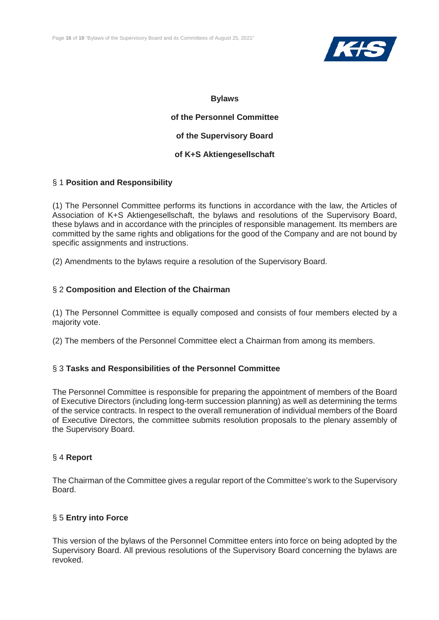

**of the Personnel Committee of the Supervisory Board of K+S Aktiengesellschaft**

#### § 1 **Position and Responsibility**

(1) The Personnel Committee performs its functions in accordance with the law, the Articles of Association of K+S Aktiengesellschaft, the bylaws and resolutions of the Supervisory Board, these bylaws and in accordance with the principles of responsible management. Its members are committed by the same rights and obligations for the good of the Company and are not bound by specific assignments and instructions.

(2) Amendments to the bylaws require a resolution of the Supervisory Board.

#### § 2 **Composition and Election of the Chairman**

(1) The Personnel Committee is equally composed and consists of four members elected by a majority vote.

(2) The members of the Personnel Committee elect a Chairman from among its members.

#### § 3 **Tasks and Responsibilities of the Personnel Committee**

The Personnel Committee is responsible for preparing the appointment of members of the Board of Executive Directors (including long-term succession planning) as well as determining the terms of the service contracts. In respect to the overall remuneration of individual members of the Board of Executive Directors, the committee submits resolution proposals to the plenary assembly of the Supervisory Board.

#### § 4 **Report**

The Chairman of the Committee gives a regular report of the Committee's work to the Supervisory Board.

#### § 5 **Entry into Force**

This version of the bylaws of the Personnel Committee enters into force on being adopted by the Supervisory Board. All previous resolutions of the Supervisory Board concerning the bylaws are revoked.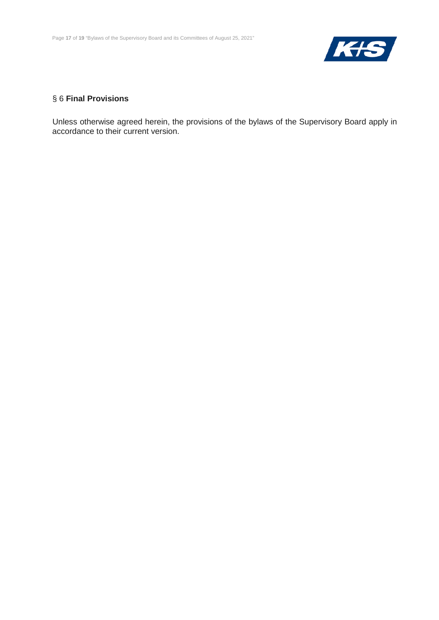

## § 6 **Final Provisions**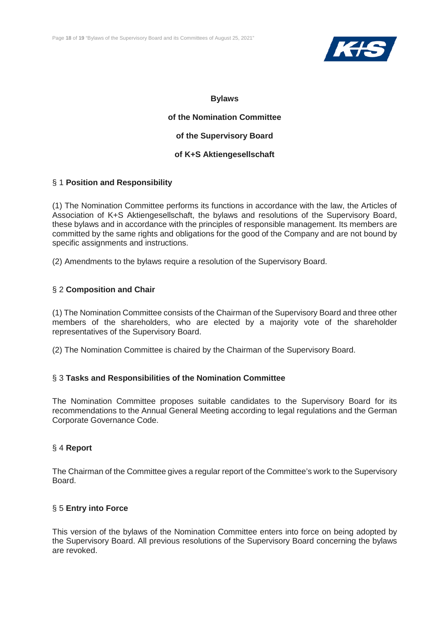

**of the Nomination Committee of the Supervisory Board of K+S Aktiengesellschaft**

#### § 1 **Position and Responsibility**

(1) The Nomination Committee performs its functions in accordance with the law, the Articles of Association of K+S Aktiengesellschaft, the bylaws and resolutions of the Supervisory Board, these bylaws and in accordance with the principles of responsible management. Its members are committed by the same rights and obligations for the good of the Company and are not bound by specific assignments and instructions.

(2) Amendments to the bylaws require a resolution of the Supervisory Board.

#### § 2 **Composition and Chair**

(1) The Nomination Committee consists of the Chairman of the Supervisory Board and three other members of the shareholders, who are elected by a majority vote of the shareholder representatives of the Supervisory Board.

(2) The Nomination Committee is chaired by the Chairman of the Supervisory Board.

#### § 3 **Tasks and Responsibilities of the Nomination Committee**

The Nomination Committee proposes suitable candidates to the Supervisory Board for its recommendations to the Annual General Meeting according to legal regulations and the German Corporate Governance Code.

#### § 4 **Report**

The Chairman of the Committee gives a regular report of the Committee's work to the Supervisory Board.

#### § 5 **Entry into Force**

This version of the bylaws of the Nomination Committee enters into force on being adopted by the Supervisory Board. All previous resolutions of the Supervisory Board concerning the bylaws are revoked.